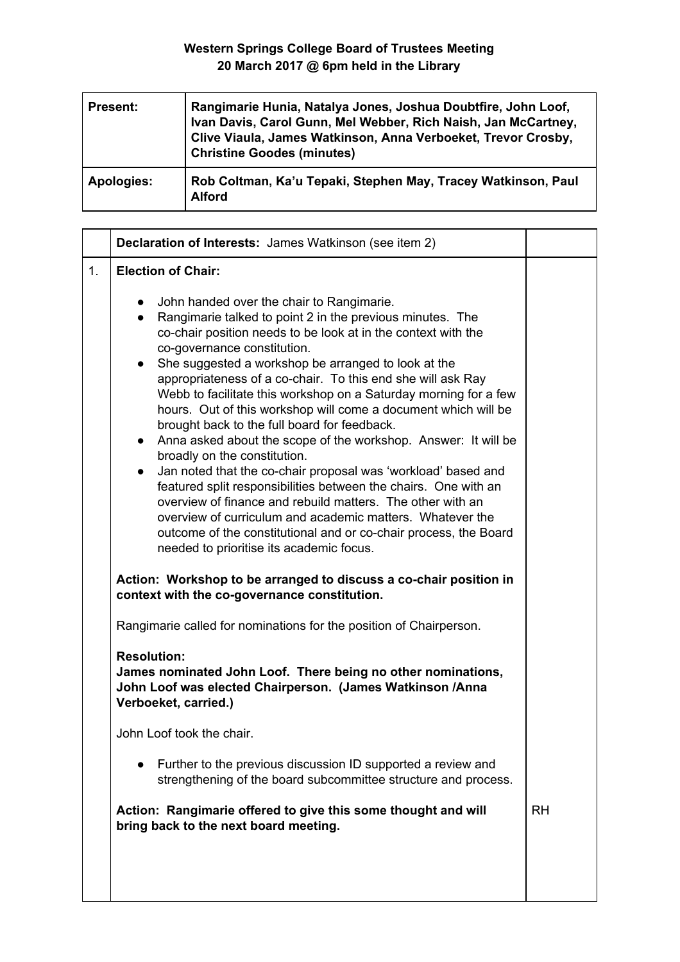| <b>Present:</b> | Rangimarie Hunia, Natalya Jones, Joshua Doubtfire, John Loof,<br>Ivan Davis, Carol Gunn, Mel Webber, Rich Naish, Jan McCartney,<br>Clive Viaula, James Watkinson, Anna Verboeket, Trevor Crosby,<br><b>Christine Goodes (minutes)</b> |
|-----------------|---------------------------------------------------------------------------------------------------------------------------------------------------------------------------------------------------------------------------------------|
| Apologies:      | Rob Coltman, Ka'u Tepaki, Stephen May, Tracey Watkinson, Paul<br><b>Alford</b>                                                                                                                                                        |

|    | Declaration of Interests: James Watkinson (see item 2)                                                                                                                                                                                                                                                                                                                                                                                                                                                                                                                                                                                                                                                                                                                                                                                                                                                                                                                                                                                                                                                                       |           |
|----|------------------------------------------------------------------------------------------------------------------------------------------------------------------------------------------------------------------------------------------------------------------------------------------------------------------------------------------------------------------------------------------------------------------------------------------------------------------------------------------------------------------------------------------------------------------------------------------------------------------------------------------------------------------------------------------------------------------------------------------------------------------------------------------------------------------------------------------------------------------------------------------------------------------------------------------------------------------------------------------------------------------------------------------------------------------------------------------------------------------------------|-----------|
| 1. | <b>Election of Chair:</b>                                                                                                                                                                                                                                                                                                                                                                                                                                                                                                                                                                                                                                                                                                                                                                                                                                                                                                                                                                                                                                                                                                    |           |
|    | John handed over the chair to Rangimarie.<br>$\bullet$<br>Rangimarie talked to point 2 in the previous minutes. The<br>$\bullet$<br>co-chair position needs to be look at in the context with the<br>co-governance constitution.<br>She suggested a workshop be arranged to look at the<br>$\bullet$<br>appropriateness of a co-chair. To this end she will ask Ray<br>Webb to facilitate this workshop on a Saturday morning for a few<br>hours. Out of this workshop will come a document which will be<br>brought back to the full board for feedback.<br>Anna asked about the scope of the workshop. Answer: It will be<br>broadly on the constitution.<br>Jan noted that the co-chair proposal was 'workload' based and<br>$\bullet$<br>featured split responsibilities between the chairs. One with an<br>overview of finance and rebuild matters. The other with an<br>overview of curriculum and academic matters. Whatever the<br>outcome of the constitutional and or co-chair process, the Board<br>needed to prioritise its academic focus.<br>Action: Workshop to be arranged to discuss a co-chair position in |           |
|    | context with the co-governance constitution.                                                                                                                                                                                                                                                                                                                                                                                                                                                                                                                                                                                                                                                                                                                                                                                                                                                                                                                                                                                                                                                                                 |           |
|    | Rangimarie called for nominations for the position of Chairperson.                                                                                                                                                                                                                                                                                                                                                                                                                                                                                                                                                                                                                                                                                                                                                                                                                                                                                                                                                                                                                                                           |           |
|    | <b>Resolution:</b><br>James nominated John Loof. There being no other nominations,<br>John Loof was elected Chairperson. (James Watkinson /Anna<br>Verboeket, carried.)                                                                                                                                                                                                                                                                                                                                                                                                                                                                                                                                                                                                                                                                                                                                                                                                                                                                                                                                                      |           |
|    | John Loof took the chair.                                                                                                                                                                                                                                                                                                                                                                                                                                                                                                                                                                                                                                                                                                                                                                                                                                                                                                                                                                                                                                                                                                    |           |
|    | Further to the previous discussion ID supported a review and<br>strengthening of the board subcommittee structure and process.                                                                                                                                                                                                                                                                                                                                                                                                                                                                                                                                                                                                                                                                                                                                                                                                                                                                                                                                                                                               |           |
|    | Action: Rangimarie offered to give this some thought and will<br>bring back to the next board meeting.                                                                                                                                                                                                                                                                                                                                                                                                                                                                                                                                                                                                                                                                                                                                                                                                                                                                                                                                                                                                                       | <b>RH</b> |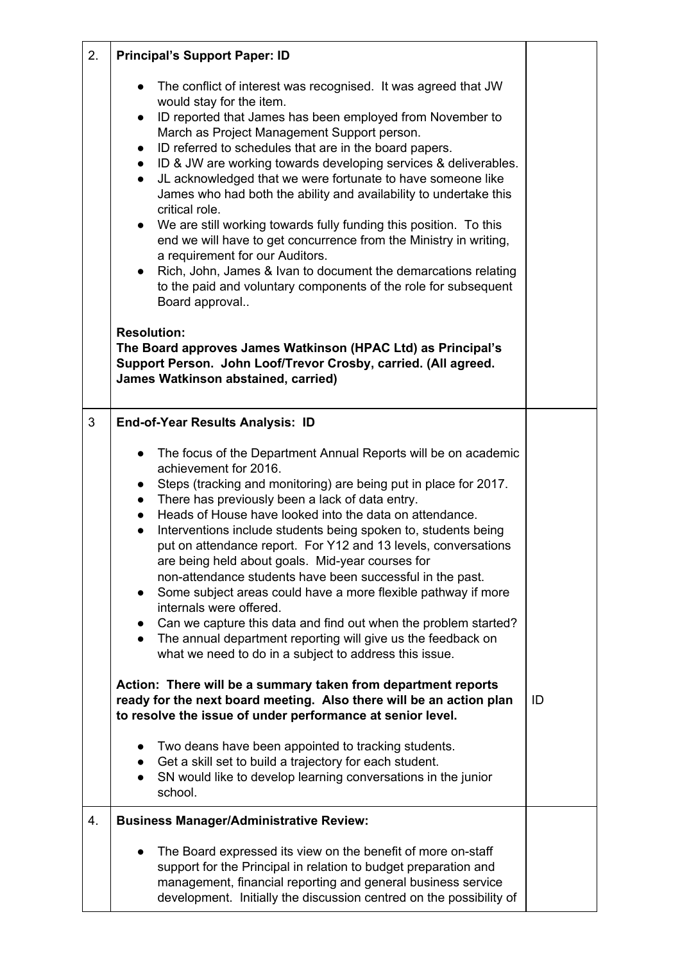| 2. | <b>Principal's Support Paper: ID</b>                                                                                                                                                                                                                                                                                                                                                                                                                                                                                                                                                                                                                                                                                                                                                                                                                                                                                            |    |
|----|---------------------------------------------------------------------------------------------------------------------------------------------------------------------------------------------------------------------------------------------------------------------------------------------------------------------------------------------------------------------------------------------------------------------------------------------------------------------------------------------------------------------------------------------------------------------------------------------------------------------------------------------------------------------------------------------------------------------------------------------------------------------------------------------------------------------------------------------------------------------------------------------------------------------------------|----|
|    | The conflict of interest was recognised. It was agreed that JW<br>$\bullet$<br>would stay for the item.<br>ID reported that James has been employed from November to<br>$\bullet$<br>March as Project Management Support person.<br>ID referred to schedules that are in the board papers.<br>$\bullet$<br>ID & JW are working towards developing services & deliverables.<br>$\bullet$<br>JL acknowledged that we were fortunate to have someone like<br>$\bullet$<br>James who had both the ability and availability to undertake this<br>critical role.<br>We are still working towards fully funding this position. To this<br>$\bullet$<br>end we will have to get concurrence from the Ministry in writing,<br>a requirement for our Auditors.<br>Rich, John, James & Ivan to document the demarcations relating<br>$\bullet$<br>to the paid and voluntary components of the role for subsequent<br>Board approval        |    |
|    | <b>Resolution:</b><br>The Board approves James Watkinson (HPAC Ltd) as Principal's<br>Support Person. John Loof/Trevor Crosby, carried. (All agreed.<br>James Watkinson abstained, carried)                                                                                                                                                                                                                                                                                                                                                                                                                                                                                                                                                                                                                                                                                                                                     |    |
| 3  | <b>End-of-Year Results Analysis: ID</b>                                                                                                                                                                                                                                                                                                                                                                                                                                                                                                                                                                                                                                                                                                                                                                                                                                                                                         |    |
|    | The focus of the Department Annual Reports will be on academic<br>$\bullet$<br>achievement for 2016.<br>Steps (tracking and monitoring) are being put in place for 2017.<br>$\bullet$<br>There has previously been a lack of data entry.<br>$\bullet$<br>Heads of House have looked into the data on attendance.<br>$\bullet$<br>Interventions include students being spoken to, students being<br>$\bullet$<br>put on attendance report. For Y12 and 13 levels, conversations<br>are being held about goals. Mid-year courses for<br>non-attendance students have been successful in the past.<br>Some subject areas could have a more flexible pathway if more<br>$\bullet$<br>internals were offered.<br>Can we capture this data and find out when the problem started?<br>$\bullet$<br>The annual department reporting will give us the feedback on<br>$\bullet$<br>what we need to do in a subject to address this issue. |    |
|    | Action: There will be a summary taken from department reports<br>ready for the next board meeting. Also there will be an action plan<br>to resolve the issue of under performance at senior level.                                                                                                                                                                                                                                                                                                                                                                                                                                                                                                                                                                                                                                                                                                                              | ID |
|    | Two deans have been appointed to tracking students.<br>$\bullet$<br>Get a skill set to build a trajectory for each student.<br>$\bullet$<br>SN would like to develop learning conversations in the junior<br>school.                                                                                                                                                                                                                                                                                                                                                                                                                                                                                                                                                                                                                                                                                                            |    |
| 4. | <b>Business Manager/Administrative Review:</b>                                                                                                                                                                                                                                                                                                                                                                                                                                                                                                                                                                                                                                                                                                                                                                                                                                                                                  |    |
|    | The Board expressed its view on the benefit of more on-staff<br>support for the Principal in relation to budget preparation and<br>management, financial reporting and general business service<br>development. Initially the discussion centred on the possibility of                                                                                                                                                                                                                                                                                                                                                                                                                                                                                                                                                                                                                                                          |    |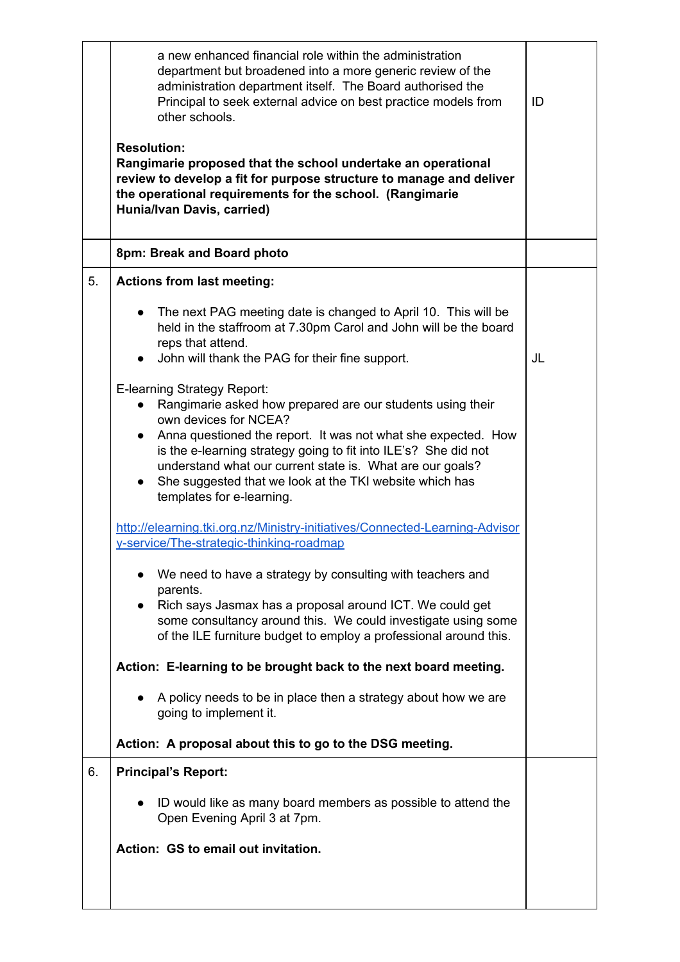|    | a new enhanced financial role within the administration<br>department but broadened into a more generic review of the<br>administration department itself. The Board authorised the<br>Principal to seek external advice on best practice models from<br>other schools.<br><b>Resolution:</b><br>Rangimarie proposed that the school undertake an operational<br>review to develop a fit for purpose structure to manage and deliver<br>the operational requirements for the school. (Rangimarie<br>Hunia/Ivan Davis, carried) | ID |
|----|--------------------------------------------------------------------------------------------------------------------------------------------------------------------------------------------------------------------------------------------------------------------------------------------------------------------------------------------------------------------------------------------------------------------------------------------------------------------------------------------------------------------------------|----|
|    | 8pm: Break and Board photo                                                                                                                                                                                                                                                                                                                                                                                                                                                                                                     |    |
| 5. | <b>Actions from last meeting:</b>                                                                                                                                                                                                                                                                                                                                                                                                                                                                                              |    |
|    | The next PAG meeting date is changed to April 10. This will be<br>$\bullet$<br>held in the staffroom at 7.30pm Carol and John will be the board<br>reps that attend.                                                                                                                                                                                                                                                                                                                                                           |    |
|    | • John will thank the PAG for their fine support.                                                                                                                                                                                                                                                                                                                                                                                                                                                                              | JL |
|    | E-learning Strategy Report:<br>Rangimarie asked how prepared are our students using their<br>own devices for NCEA?<br>Anna questioned the report. It was not what she expected. How<br>$\bullet$<br>is the e-learning strategy going to fit into ILE's? She did not<br>understand what our current state is. What are our goals?<br>She suggested that we look at the TKI website which has<br>templates for e-learning.                                                                                                       |    |
|    | http://elearning.tki.org.nz/Ministry-initiatives/Connected-Learning-Advisor<br>y-service/The-strategic-thinking-roadmap                                                                                                                                                                                                                                                                                                                                                                                                        |    |
|    | We need to have a strategy by consulting with teachers and<br>parents.<br>Rich says Jasmax has a proposal around ICT. We could get<br>some consultancy around this. We could investigate using some<br>of the ILE furniture budget to employ a professional around this.                                                                                                                                                                                                                                                       |    |
|    | Action: E-learning to be brought back to the next board meeting.                                                                                                                                                                                                                                                                                                                                                                                                                                                               |    |
|    | A policy needs to be in place then a strategy about how we are<br>going to implement it.                                                                                                                                                                                                                                                                                                                                                                                                                                       |    |
|    | Action: A proposal about this to go to the DSG meeting.                                                                                                                                                                                                                                                                                                                                                                                                                                                                        |    |
| 6. | <b>Principal's Report:</b>                                                                                                                                                                                                                                                                                                                                                                                                                                                                                                     |    |
|    | ID would like as many board members as possible to attend the<br>Open Evening April 3 at 7pm.                                                                                                                                                                                                                                                                                                                                                                                                                                  |    |
|    | Action: GS to email out invitation.                                                                                                                                                                                                                                                                                                                                                                                                                                                                                            |    |
|    |                                                                                                                                                                                                                                                                                                                                                                                                                                                                                                                                |    |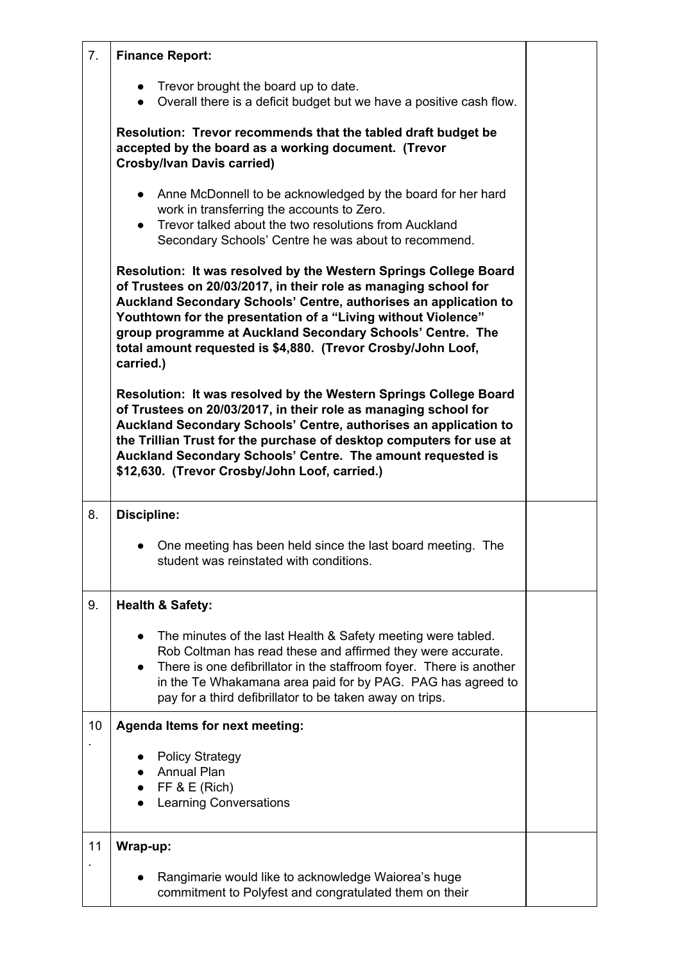| 7. | <b>Finance Report:</b>                                                                                                                                                                                                                                                                                                                                                                                              |  |
|----|---------------------------------------------------------------------------------------------------------------------------------------------------------------------------------------------------------------------------------------------------------------------------------------------------------------------------------------------------------------------------------------------------------------------|--|
|    | • Trevor brought the board up to date.<br>Overall there is a deficit budget but we have a positive cash flow.<br>$\bullet$                                                                                                                                                                                                                                                                                          |  |
|    | Resolution: Trevor recommends that the tabled draft budget be<br>accepted by the board as a working document. (Trevor<br><b>Crosby/Ivan Davis carried)</b>                                                                                                                                                                                                                                                          |  |
|    | Anne McDonnell to be acknowledged by the board for her hard<br>$\bullet$<br>work in transferring the accounts to Zero.<br>Trevor talked about the two resolutions from Auckland<br>$\bullet$<br>Secondary Schools' Centre he was about to recommend.                                                                                                                                                                |  |
|    | Resolution: It was resolved by the Western Springs College Board<br>of Trustees on 20/03/2017, in their role as managing school for<br>Auckland Secondary Schools' Centre, authorises an application to<br>Youthtown for the presentation of a "Living without Violence"<br>group programme at Auckland Secondary Schools' Centre. The<br>total amount requested is \$4,880. (Trevor Crosby/John Loof,<br>carried.) |  |
|    | Resolution: It was resolved by the Western Springs College Board<br>of Trustees on 20/03/2017, in their role as managing school for<br>Auckland Secondary Schools' Centre, authorises an application to<br>the Trillian Trust for the purchase of desktop computers for use at<br>Auckland Secondary Schools' Centre. The amount requested is<br>\$12,630. (Trevor Crosby/John Loof, carried.)                      |  |
| 8. | <b>Discipline:</b>                                                                                                                                                                                                                                                                                                                                                                                                  |  |
|    | One meeting has been held since the last board meeting. The<br>student was reinstated with conditions.                                                                                                                                                                                                                                                                                                              |  |
| 9. | <b>Health &amp; Safety:</b>                                                                                                                                                                                                                                                                                                                                                                                         |  |
|    | The minutes of the last Health & Safety meeting were tabled.<br>$\bullet$<br>Rob Coltman has read these and affirmed they were accurate.<br>There is one defibrillator in the staffroom foyer. There is another<br>$\bullet$<br>in the Te Whakamana area paid for by PAG. PAG has agreed to<br>pay for a third defibrillator to be taken away on trips.                                                             |  |
| 10 | <b>Agenda Items for next meeting:</b>                                                                                                                                                                                                                                                                                                                                                                               |  |
|    | <b>Policy Strategy</b><br><b>Annual Plan</b><br>FF & E (Rich)<br><b>Learning Conversations</b>                                                                                                                                                                                                                                                                                                                      |  |
| 11 | Wrap-up:                                                                                                                                                                                                                                                                                                                                                                                                            |  |
|    | Rangimarie would like to acknowledge Waiorea's huge<br>commitment to Polyfest and congratulated them on their                                                                                                                                                                                                                                                                                                       |  |